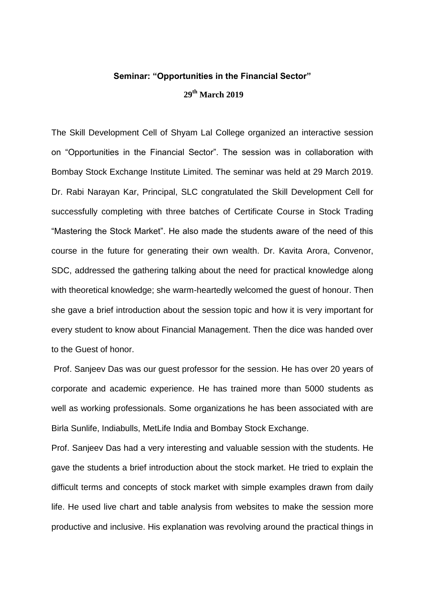## **Seminar: "Opportunities in the Financial Sector" 29th March 2019**

The Skill Development Cell of Shyam Lal College organized an interactive session on "Opportunities in the Financial Sector". The session was in collaboration with Bombay Stock Exchange Institute Limited. The seminar was held at 29 March 2019. Dr. Rabi Narayan Kar, Principal, SLC congratulated the Skill Development Cell for successfully completing with three batches of Certificate Course in Stock Trading "Mastering the Stock Market". He also made the students aware of the need of this course in the future for generating their own wealth. Dr. Kavita Arora, Convenor, SDC, addressed the gathering talking about the need for practical knowledge along with theoretical knowledge; she warm-heartedly welcomed the guest of honour. Then she gave a brief introduction about the session topic and how it is very important for every student to know about Financial Management. Then the dice was handed over to the Guest of honor.

Prof. Sanjeev Das was our guest professor for the session. He has over 20 years of corporate and academic experience. He has trained more than 5000 students as well as working professionals. Some organizations he has been associated with are Birla Sunlife, Indiabulls, MetLife India and Bombay Stock Exchange.

Prof. Sanjeev Das had a very interesting and valuable session with the students. He gave the students a brief introduction about the stock market. He tried to explain the difficult terms and concepts of stock market with simple examples drawn from daily life. He used live chart and table analysis from websites to make the session more productive and inclusive. His explanation was revolving around the practical things in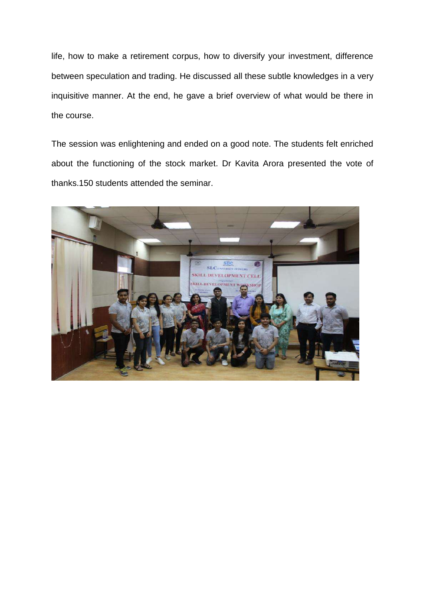life, how to make a retirement corpus, how to diversify your investment, difference between speculation and trading. He discussed all these subtle knowledges in a very inquisitive manner. At the end, he gave a brief overview of what would be there in the course.

The session was enlightening and ended on a good note. The students felt enriched about the functioning of the stock market. Dr Kavita Arora presented the vote of thanks.150 students attended the seminar.